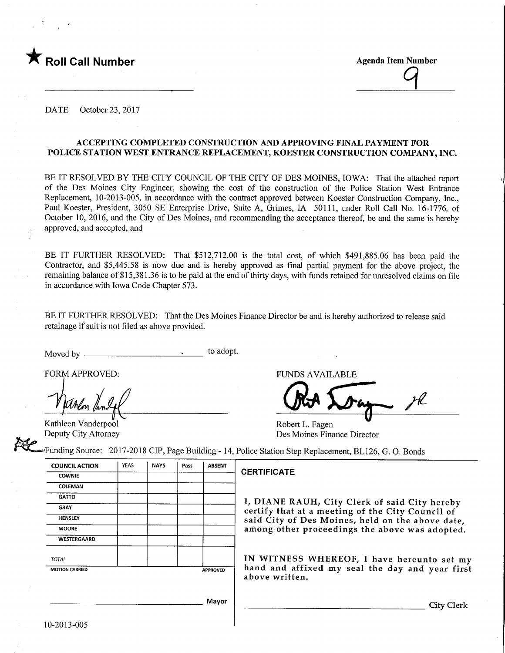

**Agenda Item Number** 

DATE October 23, 2017

#### ACCEPTING COMPLETED CONSTRUCTION AND APPROVING FINAL PAYMENT FOR POLICE STATION WEST ENTRANCE REPLACEMENT, KOESTER CONSTRUCTION COMPANY, INC.

BE IT RESOLVED BY THE CITY COUNCIL OF THE CITY OF DES MOINES, IOWA: That the attached report of the Des Moines City Engineer, showing the cost of the construction of the Police Station West Entrance Replacement, 10-2013-005, in accordance with the contract approved between Koester Construction Company, Inc., Paul Koester, President, 3050 SE Enterprise Drive, Suite A, Grimes, IA 50111, under Roll Call No. 16-1776, of October 10, 2016, and the City of Des Moines, and recommending the acceptance thereof, be and the same is hereby approved, and accepted, and

BE IT FURTHER RESOLVED: That \$512,712.00 is the total cost, of which \$491,885.06 has been paid the Contractor, and \$5,445.58 is now due and is hereby approved as final partial payment for the above project, the remaining balance of \$15,381.36 is to be paid at the end of thirty days, with funds retained for unresolved claims on file in accordance with Iowa Code Chapter 573.

BE IT FURTHER RESOLVED: That the Des Moines Finance Director be and is hereby authorized to release said retainage if suit is not filed as above provided.

Moved by to adopt.

FORM APPROVED: THE RESERVED OF THE RESERVED OF THE RESERVED OF THE RESERVED OF THE RESERVED OF THE RESERVED OF THE RESERVED OF THE RESERVED OF THE RESERVED OF THE RESERVED OF THE RESERVED OF THE RESERVED OF THE RESERVED OF

Kathleen Vanderpool Deputy City Attorney

Robert L. Fagen Des Moines Finance Director

•Funding Source: 2017-2018 CEP, Page Building - 14, Police Station Step Replacement, BL126, G. 0. Bonds

| <b>COUNCIL ACTION</b>                    | <b>YEAS</b> | <b>NAYS</b> | Pass | <b>ABSENT</b> |  |
|------------------------------------------|-------------|-------------|------|---------------|--|
| <b>COWNIE</b>                            |             |             |      |               |  |
| COLEMAN                                  |             |             |      |               |  |
| <b>GATTO</b>                             |             |             |      |               |  |
| <b>GRAY</b>                              |             |             |      |               |  |
| <b>HENSLEY</b>                           |             |             |      |               |  |
| <b>MOORE</b>                             |             |             |      |               |  |
| WESTERGAARD                              |             |             |      |               |  |
| <b>TOTAL</b>                             |             |             |      |               |  |
| <b>MOTION CARRIED</b><br><b>APPROVED</b> |             |             |      |               |  |
|                                          |             |             |      |               |  |
|                                          |             |             |      | Mavor         |  |

#### CERTIFICATE

I, DIANE RAUH, City Clerk of said City hereby certify that at a meeting of the City Council of said City of Des Moines, held on the above date, among other proceedings the above was adopted.

IN WITNESS WHEREOF, I have hereunto set my hand and affixed my seal the day and year first above written.

Mayor

**City Clerk**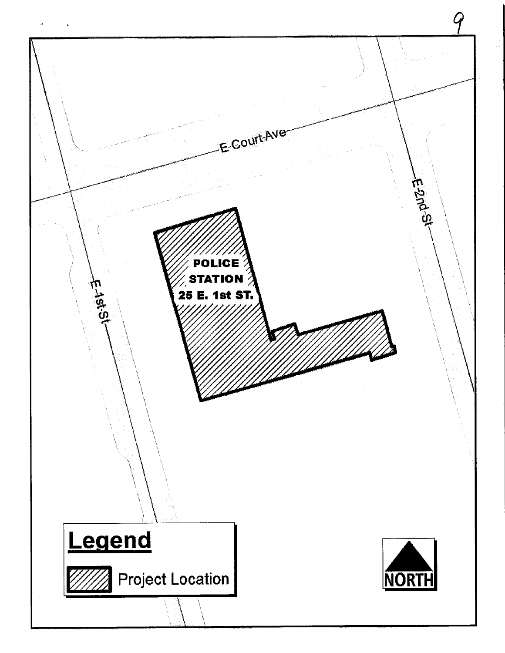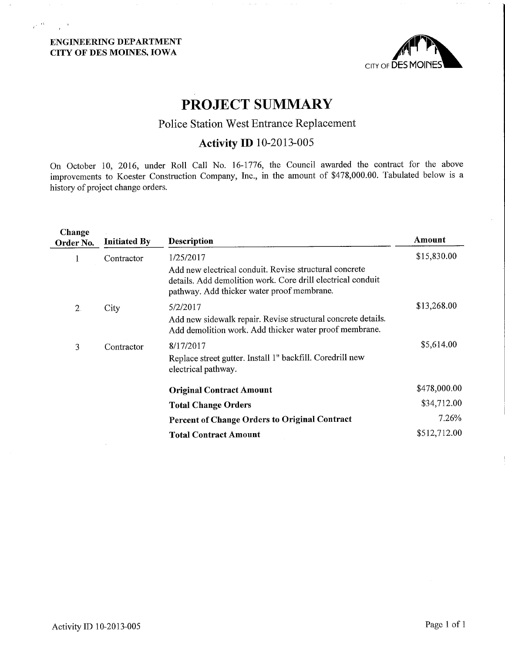### ENGINEERING DEPARTMENT CITY OF DES MOINES, IOWA

 $\mu^{1/13}=-\frac{1}{2}$  .



# PROJECT SUMMARY

## Police Station West Entrance Replacement

## Activity ID 10-2013-005

On October 10, 2016, under Roll Call No. 16-1776, the Council awarded the contract for the above improvements to Koester Construction Company, Inc., in the amount of \$478,000.60. Tabulated below is a history of project change orders.

| Change<br>Order No. | <b>Initiated By</b> | <b>Description</b>                                                                                                                                                  | Amount       |
|---------------------|---------------------|---------------------------------------------------------------------------------------------------------------------------------------------------------------------|--------------|
| 1                   | Contractor          | 1/25/2017                                                                                                                                                           | \$15,830.00  |
|                     |                     | Add new electrical conduit. Revise structural concrete<br>details. Add demolition work. Core drill electrical conduit<br>pathway. Add thicker water proof membrane. |              |
| 2.                  | City                | 5/2/2017                                                                                                                                                            | \$13,268.00  |
|                     |                     | Add new sidewalk repair. Revise structural concrete details.<br>Add demolition work. Add thicker water proof membrane.                                              |              |
| 3                   | Contractor          | 8/17/2017                                                                                                                                                           | \$5,614.00   |
|                     |                     | Replace street gutter. Install 1" backfill. Coredrill new<br>electrical pathway.                                                                                    |              |
|                     |                     | <b>Original Contract Amount</b>                                                                                                                                     | \$478,000.00 |
|                     |                     | <b>Total Change Orders</b>                                                                                                                                          | \$34,712.00  |
|                     |                     | Percent of Change Orders to Original Contract                                                                                                                       | 7.26%        |
|                     |                     | <b>Total Contract Amount</b>                                                                                                                                        | \$512,712.00 |
|                     |                     |                                                                                                                                                                     |              |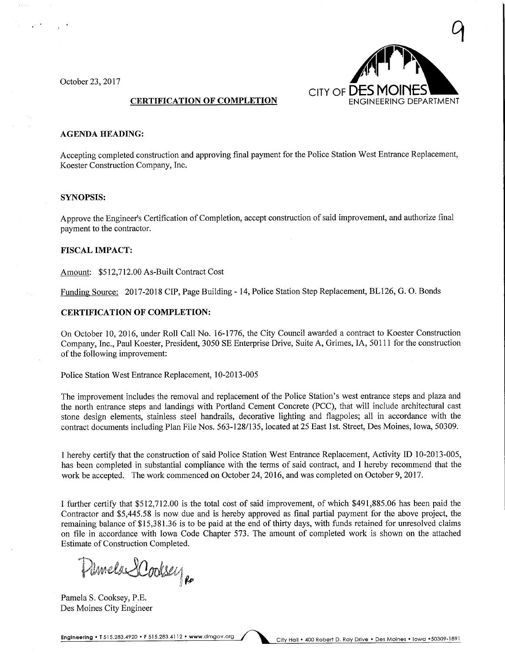October 23, 2017



#### CERTIFICATION OF COMPLETION

#### **AGENDA HEADING:**

Accepting completed construction and approving final payment for the Police Station West Entrance Replacement, Koester Construction Company, Inc.

#### SYNOPSIS:

Approve the Engineer's Certification of Completion, accept construction of said improvement, and authorize final payment to the contractor.

#### FISCAL IMPACT:

Amount: \$512,712.00 As-Built Contract Cost

Funding Source: 2017-2018 CIP, Page Building - 14, Police Station Step Replacement, BL126, G. 0. Bonds

#### CERTIFICATION OF COMPLETION:

On October 10, 2016, under Roll Call No. 16-1776, the City Council awarded a contract to Koester Construction Company, Inc., Paul Koester, President, 3050 SE Enterprise Drive, Suite A, Grimes, IA, 50111 for the construction of the following mprovement:

Police Station West Entrance Replacement, 10-2013-005

The improvement includes the removal and replacement of the Police Station's west entrance steps and plaza and the north entrance steps and landings with Portland Cement Concrete (PCC), that will include architectural cast stone design elements, stainless steel handrails, decorative lighting and flagpoles; all in accordance with the contract documents including Plan File Nos. 563-128/135, located at 25 East 1st. Street, Des Moines, Iowa, 50309.

I hereby certify that the construction of said Police Station West Entrance Replacement, Activity ID 10-2013-005, has been completed in substantial compliance with the terms of said contract, and I hereby recommend that the work be accepted. The work commenced on October 24, 2016, and was completed on October 9, 2017.

I further certify that \$512,712.00 is the total cost of said improvement, of which \$491,885.06 has been paid the Contractor and \$5,445.58 is now due and is hereby approved as final partial payment for the above project, the remaining balance of \$15,381.36 is to be paid at the end of thirty days, with funds retained for unresolved claims on file in accordance with Iowa Code Chapter 573. The amount of completed work is shown on the attached Estimate of Construction Completed.

Damela Scoolsey

Pamela S. Cooksey, P.E. Des Moines City Engineer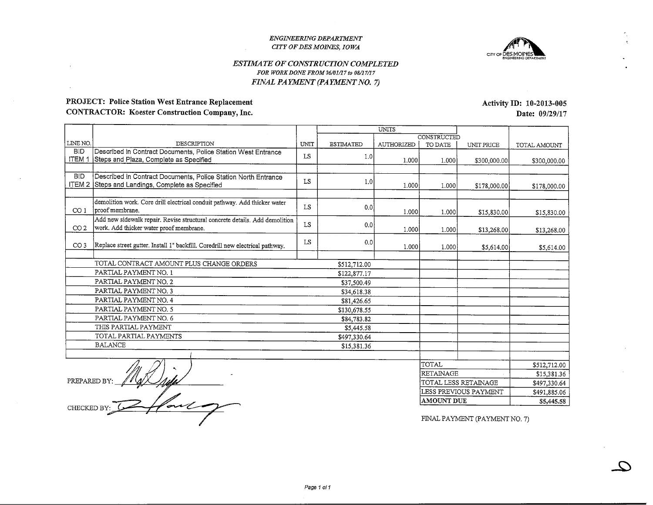#### ENGINEERING DEPARTMENTCITY OF DES MOINES, IOWA



#### ESTIMATE OF CONSTRUCTION COMPLETEDFOR WORK DONE FROM 06/01/17 to 98/17/17FINAL PAYMENT (PAYMENT NO. 7)

### PROJECT: Police Station West Entrance ReplacementCONTRACTOR: Koester Construction Company, Inc.

LINE NO.<br>BID <u>ITEM 1</u> Steps and Plaza, Complete as Specified BID $I$  Livi  $Z$  | Steps and Landings, Complete as Specified CO 1 proof membrane. CO 2 WORK. There embre water proof membrane. CO 3 Replace shoet gutter. Install 1" backlub. Coredrill new electrical pathway. DEScribed in Contract Documents, Police Station West Entrance Described in Contract Documents, Police Station North Entrancedemolition work. Core drill electrical conduit pathway. Add thicker water new membrane.<br>Add new sidewalk repair. Revise structural concrete details. Add demolition TOTAL CONTRACT AMOUNT PLUS CHANGE ORDERSPARTIAL PAYMENT NO. 1 PARTIAL PAYMENT NO. 2PARTIAL PATIMENT NO. 3 PARTIAL PAYMENT NO. 4 PARTIAL PAYMENT NO. 5 PARTIAL PAYMENT NO. 6 THIS PARTIAL PAYMENTTOTAL PARTIAL PATIMENTS **BALANCE** UNTT LSLSLSLSLSESTIMATED1.01.0 $0.0$ o.co.c\$512,712.00 \$122,877.17 \$37,500.49 \$34,618.38<u>881,426.65</u> \$130,678.55 \$84,783.82 \$5,445.58 \$497,330.64 \$15,381.36UNITSAUTHORIZED1.00011.00011.00011.0001i.oool $\mathscr{S}$  $\overline{\mathcal{M}}$ CONSTRUCTED TO DATE1.00011.00011.00011.000]i.ooolUNIT PRICE\$300,000.00\$178,000.00\$15,830.0C\$13,268.00 \$5,614.00 FOTAL RETAMAGETOTAL AMOUNT\$300,000.00\$178,000.00\$15,830.00\$13,268.00\$5,614.00\$512,712,00 \$15,381.36\$497,330.64

PREPARED BY:  $\mathscr{A}$ CHECKED BY:  $\mathcal{L}$ 

FINAL PAYMENT (PAYMENT NO. 7)

 \$491,885.06\$5,445.58

 $\overline{\mathcal{L}}$ 

 TOTAL LESS RETAINAGELESS PREVIOUS PAYMENT

AMOUNT DUE

Activity ID: 10-2013-005Date: 09/29/17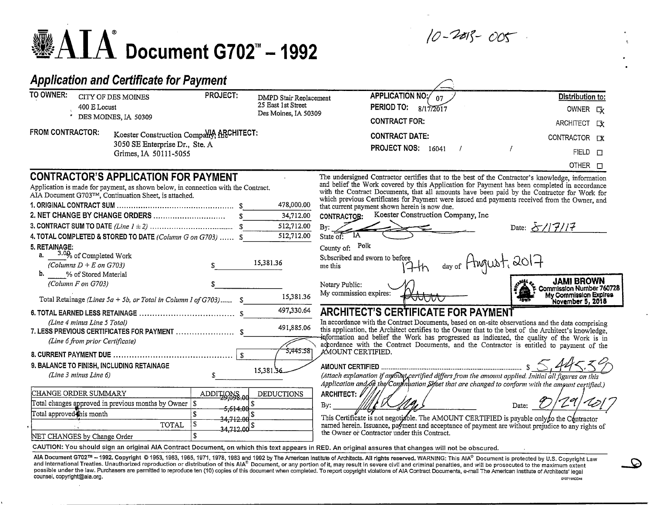10-2013-005

-£>

# $\mathbf{\mathscr{B}}\text{AIA}$  Document G702" – 1992

## Application and Certificate for Payment

| TO OWNER:<br>400 E Locust                                                                                                            | CITY OF DES MOINES<br>DES MOINES, IA 50309                                                                                                                                                                                                              | PROJECT:<br>DMPD Stair Replacement<br>25 East 1st Street<br>Des Moines, IA 50309                | APPLICATION NO:/<br>PERIOD TO:<br>8/17/2017<br><b>CONTRACT FOR:</b>                                                                                                                                                                                                                                                                                                                                                                                                                                                                                                                                                                                                                                               | <b>Distribution to:</b><br>OWNER CV<br>ARCHITECT EX                                                               |
|--------------------------------------------------------------------------------------------------------------------------------------|---------------------------------------------------------------------------------------------------------------------------------------------------------------------------------------------------------------------------------------------------------|-------------------------------------------------------------------------------------------------|-------------------------------------------------------------------------------------------------------------------------------------------------------------------------------------------------------------------------------------------------------------------------------------------------------------------------------------------------------------------------------------------------------------------------------------------------------------------------------------------------------------------------------------------------------------------------------------------------------------------------------------------------------------------------------------------------------------------|-------------------------------------------------------------------------------------------------------------------|
| <b>FROM CONTRACTOR:</b>                                                                                                              | Koester Construction Company, ARCHITECT:<br>3050 SE Enterprise Dr., Ste. A<br>Grimes, IA 50111-5055                                                                                                                                                     |                                                                                                 | <b>CONTRACT DATE:</b><br>PROJECT NOS: 16041                                                                                                                                                                                                                                                                                                                                                                                                                                                                                                                                                                                                                                                                       | CONTRACTOR DX<br>$FIELD$ $\Box$<br>OTHER <sub>[]</sub>                                                            |
|                                                                                                                                      | <b>CONTRACTOR'S APPLICATION FOR PAYMENT</b><br>Application is made for payment, as shown below, in connection with the Contract.<br>AIA Document G703TM, Continuation Sheet, is attached.<br>4. TOTAL COMPLETED & STORED TO DATE (Column G on G703)  \$ | 478,000.00<br>34,712.00<br>512,712.00<br>512,712.00                                             | The undersigned Contractor certifies that to the best of the Contractor's knowledge, information<br>and belief the Work covered by this Application for Payment has been completed in accordance<br>with the Contract Documents, that all amounts have been paid by the Contractor for Work for<br>which previous Certificates for Payment were issued and payments received from the Owner, and<br>that current payment shown herein is now due.<br>Koester Construction Company, Inc.<br><b>CONTRACTOR:</b><br>By:<br>ΊΑ<br>State of:                                                                                                                                                                           | Date: $\frac{\mathcal{S}}{277777}$                                                                                |
| 5. RETAINAGE:<br>a. $3.0\%$ of Completed Work<br>(Columns $D + E$ on G703)<br>b.<br>% of Stored Material<br>(Column F on G703)       | \$<br>Total Retainage (Lines 5a + 5b, or Total in Column I of G703) \$                                                                                                                                                                                  | 15,381.36<br>15,381.36                                                                          | County of: Polk<br>Subscribed and sworn to before<br>me this<br>Notary Public:<br>My commission expires:                                                                                                                                                                                                                                                                                                                                                                                                                                                                                                                                                                                                          | day of Hugust, 2017<br><b>JAMI BROWN</b><br>Commission Number 760728<br>My Commission Expires<br>November 5, 2018 |
| (Line 4 minus Line 5 Total)<br>(Line 6 from prior Certificate)<br>9. BALANCE TO FINISH, INCLUDING RETAINAGE<br>(Line 3 minus Line 6) | \$.                                                                                                                                                                                                                                                     | 497,330.64<br>491,885.06<br>5,445.581<br>15,381,56                                              | <b>ARCHITECT'S CERTIFICATE FOR PAYMENT</b><br>In accordance with the Contract Documents, based on on-site observations and the data comprising<br>this application, the Architect certifies to the Owner that to the best of the Architect's knowledge,<br>information and belief the Work has progressed as indicated, the quality of the Work is in<br>accordance with the Contract Documents, and the Contractor is entitled to payment of the<br>AMOUNT CERTIFIED.<br>AMOUNT CERTIFIED $\ldots$<br>(Attach explanation if antown certified differs from the amount applied. Initial all figures on this<br>Application and 6h the Continuation Sifeet that are changed to conform with the amount certified.) |                                                                                                                   |
| CHANGE ORDER SUMMARY<br>Total approved this month<br>NET CHANGES by Change Order                                                     | Total changes approved in previous months by Owner $\vert$ \$<br>'S<br><b>TOTAL</b>                                                                                                                                                                     | ADDILIONS.od<br><b>DEDUCTIONS</b><br><del>5.614.0</del> 6<br>34,712.00<br>$34,712 \text{ nd}^s$ | ARCHITECT: A<br>$\mathbf{By:}$<br>This Certificate is not negotiable. The AMOUNT CERTIFIED is payable only to the Contractor<br>named herein. Issuance, payment and acceptance of payment are without prejudice to any rights of<br>the Owner or Contractor under this Contract.<br>CAUTION: You should sign an original AIA Contract Document, on which this text appears in RED. An original assures that changes will not be obscured.                                                                                                                                                                                                                                                                         | Date:                                                                                                             |

AlA Document G702™ – 1992. Copyright © 1953, 1963, 1965, 1971, 1978, 1983 and 1992 by The American Institute of Architects. All rights reserved. WARNING: This AIA® Document is protected by U.S. Copyright Law<br>AIA Document 010711ACD44 counced, copyright@aia.org. and the counterparticles of the counterparticles of the counterparticles of the counterparticles of the counterparticles of the counterparticles of the counterparticles of the counterparticles o